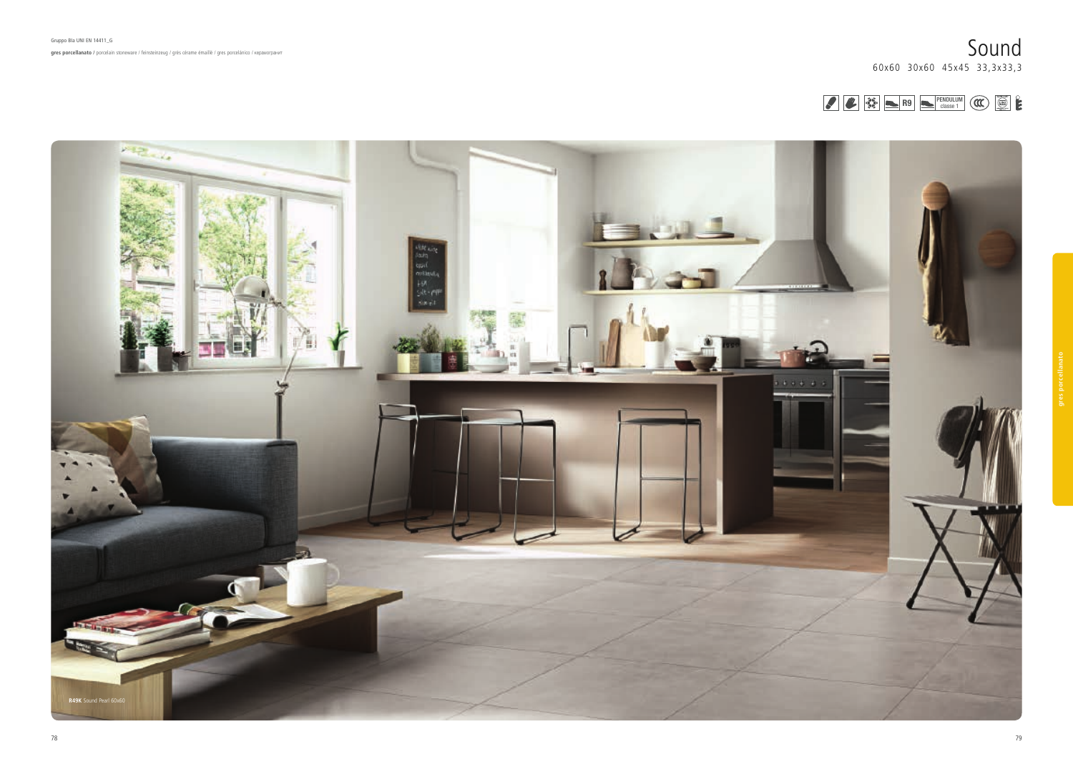









R9 | PENDULUM